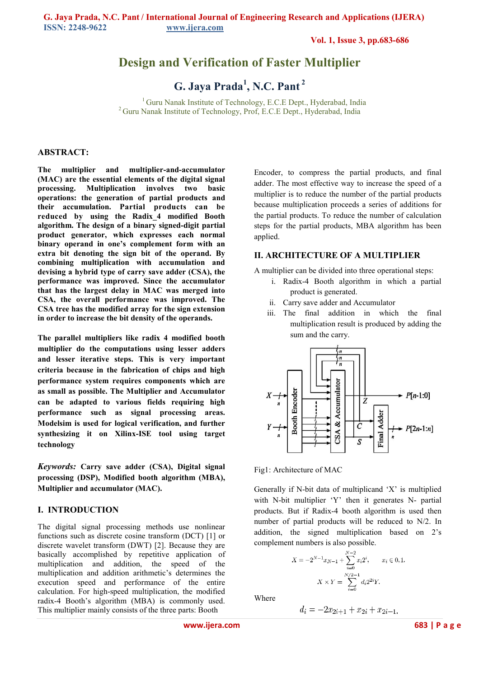**Vol. 1, Issue 3, pp.683-686**

# **Design and Verification of Faster Multiplier**

**G. Jaya Prada<sup>1</sup> , N.C. Pant<sup>2</sup>**

<sup>1</sup> Guru Nanak Institute of Technology, E.C.E Dept., Hyderabad, India <sup>2</sup> Guru Nanak Institute of Technology, Prof, E.C.E Dept., Hyderabad, India

#### **ABSTRACT:**

**The multiplier and multiplier-and-accumulator (MAC) are the essential elements of the digital signal processing. Multiplication involves two basic operations: the generation of partial products and their accumulation. Partial products can be reduced by using the Radix\_4 modified Booth algorithm. The design of a binary signed-digit partial product generator, which expresses each normal binary operand in one's complement form with an extra bit denoting the sign bit of the operand. By combining multiplication with accumulation and devising a hybrid type of carry save adder (CSA), the performance was improved. Since the accumulator that has the largest delay in MAC was merged into CSA, the overall performance was improved. The CSA tree has the modified array for the sign extension in order to increase the bit density of the operands.** 

**The parallel multipliers like radix 4 modified booth multiplier do the computations using lesser adders and lesser iterative steps. This is very important criteria because in the fabrication of chips and high performance system requires components which are as small as possible. The Multiplier and Accumulator can be adapted to various fields requiring high performance such as signal processing areas. Modelsim is used for logical verification, and further synthesizing it on Xilinx-ISE tool using target technology** 

*Keywords:* **Carry save adder (CSA), Digital signal processing (DSP), Modified booth algorithm (MBA), Multiplier and accumulator (MAC).** 

## **I. INTRODUCTION**

The digital signal processing methods use nonlinear functions such as discrete cosine transform (DCT) [1] or discrete wavelet transform (DWT) [2]. Because they are basically accomplished by repetitive application of multiplication and addition, the speed of the multiplication and addition arithmetic's determines the execution speed and performance of the entire calculation. For high-speed multiplication, the modified radix-4 Booth's algorithm (MBA) is commonly used. This multiplier mainly consists of the three parts: Booth

Encoder, to compress the partial products, and final adder. The most effective way to increase the speed of a multiplier is to reduce the number of the partial products because multiplication proceeds a series of additions for the partial products. To reduce the number of calculation steps for the partial products, MBA algorithm has been applied.

#### **II. ARCHITECTURE OF A MULTIPLIER**

A multiplier can be divided into three operational steps:

- i. Radix-4 Booth algorithm in which a partial product is generated.
- ii. Carry save adder and Accumulator
- iii. The final addition in which the final multiplication result is produced by adding the sum and the carry.





Generally if N-bit data of multiplicand 'X' is multiplied with N-bit multiplier 'Y' then it generates N- partial products. But if Radix-4 booth algorithm is used then number of partial products will be reduced to N/2. In addition, the signed multiplication based on 2's complement numbers is also possible.

$$
X = -2^{N-1}x_{N-1} + \sum_{i=0}^{N-2} x_i 2^i, \qquad x_i \in [0, 1].
$$
  

$$
X \times Y = \sum_{i=0}^{N/2-1} d_i 2^{2i} Y.
$$

Where

$$
d_i = -2x_{2i+1} + x_{2i} + x_{2i-1}.
$$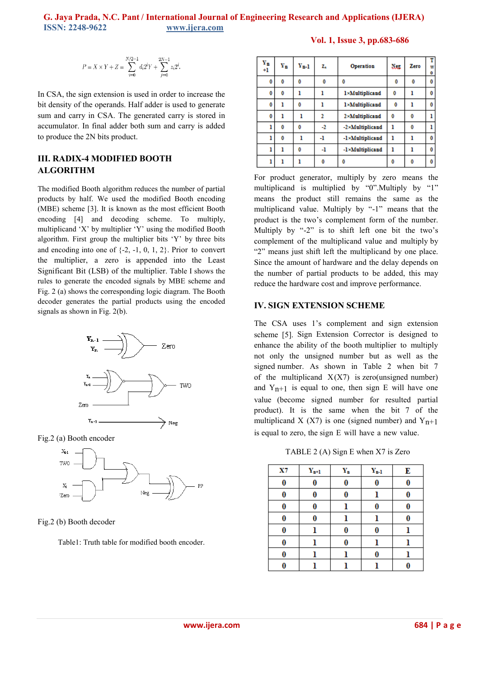## **G. Jaya Prada, N.C. Pant / International Journal of Engineering Research and Applications (IJERA) ISSN: 2248-9622 www.ijera.com**

$$
P=X\times Y+Z=\sum_{i=0}^{N/2-1}d_i2^iY+\sum_{j=0}^{2N-1}z_i2^i.
$$

In CSA, the sign extension is used in order to increase the bit density of the operands. Half adder is used to generate sum and carry in CSA. The generated carry is stored in accumulator. In final adder both sum and carry is added to produce the 2N bits product.

## **III. RADIX-4 MODIFIED BOOTH ALGORITHM**

The modified Booth algorithm reduces the number of partial products by half. We used the modified Booth encoding (MBE) scheme [3]. It is known as the most efficient Booth encoding [4] and decoding scheme. To multiply, multiplicand 'X' by multiplier 'Y' using the modified Booth algorithm. First group the multiplier bits 'Y' by three bits and encoding into one of {-2, -1, 0, 1, 2}. Prior to convert the multiplier, a zero is appended into the Least Significant Bit (LSB) of the multiplier. Table I shows the rules to generate the encoded signals by MBE scheme and Fig. 2 (a) shows the corresponding logic diagram. The Booth decoder generates the partial products using the encoded signals as shown in Fig. 2(b).



Fig.2 (a) Booth encoder



Fig.2 (b) Booth decoder

Table1: Truth table for modified booth encoder.

**Vol. 1, Issue 3, pp.683-686**

| Yn<br>$^{+1}$ | Y'n | $Y_{n-1}$ | z. | Operation       | Neg | Zero | т<br>W<br>۰ |
|---------------|-----|-----------|----|-----------------|-----|------|-------------|
| 0             | 0   | 0         | 0  | 0               | 0   | 0    | 0           |
| 0             | 0   |           |    | 1×Multiplicand  | 0   |      | 0           |
| 0             | 1   | 0         |    | 1×Multiplicand  | 0   |      | 0           |
| 0             |     |           | 2  | 2×Multiplicand  | 0   | 0    |             |
| 1             | 0   | 0         | -2 | -2×Multiplicand |     | 0    |             |
| ı             | 0   |           | -1 | -1×Multiplicand |     |      | 0           |
| ı             |     | 0         | -1 | -1×Multiplicand |     |      | 0           |
|               |     |           | o  | Ō               | 0   |      | 0           |

For product generator, multiply by zero means the multiplicand is multiplied by "0".Multiply by "1" means the product still remains the same as the multiplicand value. Multiply by "-1" means that the product is the two's complement form of the number. Multiply by "-2" is to shift left one bit the two's complement of the multiplicand value and multiply by "2" means just shift left the multiplicand by one place. Since the amount of hardware and the delay depends on the number of partial products to be added, this may reduce the hardware cost and improve performance.

## **IV. SIGN EXTENSION SCHEME**

The CSA uses 1's complement and sign extension scheme [5]. Sign Extension Corrector is designed to enhance the ability of the booth multiplier to multiply not only the unsigned number but as well as the signed number. As shown in Table 2 when bit 7 of the multiplicand  $X(X7)$  is zero(unsigned number) and  $Y_{n+1}$  is equal to one, then sign E will have one value (become signed number for resulted partial product). It is the same when the bit 7 of the multiplicand X (X7) is one (signed number) and  $Y_{n+1}$ is equal to zero, the sign E will have a new value.

TABLE 2 (A) Sign E when X7 is Zero

| X7 | $Y_{n+1}$ | $\mathbf{Y_{n}}$ | $\mathbf{Y_{n-1}}$ | Е |
|----|-----------|------------------|--------------------|---|
| 0  | 0         | 0                | 0                  | 0 |
| 0  | 0         | 0                |                    | 0 |
| 0  | 0         |                  | 0                  | 0 |
| 0  | 0         |                  | ı                  | 0 |
| 0  | ı         | 0                | 0                  |   |
| 0  | ı         | 0                | ı                  |   |
| 0  | l         |                  | 0                  |   |
| 0  |           |                  |                    |   |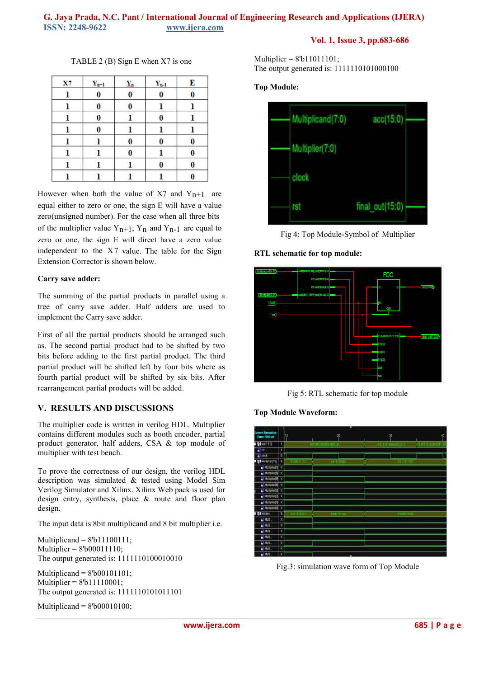## **G. Jaya Prada, N.C. Pant / International Journal of Engineering Research and Applications (IJERA) ISSN: 2248-9622 www.ijera.com**

## **Vol. 1, Issue 3, pp.683-686**

TABLE 2 (B) Sign E when X7 is one

| X7 | $\mathbf{Y_{n+1}}$ | $\chi_{\rm a}$ | $\mathbf{Y_{n-1}}$ | Е |
|----|--------------------|----------------|--------------------|---|
| ı  | 0                  | 0              | 0                  | 0 |
|    | 0                  | 0              |                    |   |
| 1  | 0                  |                | 0                  |   |
| ı  | 0                  |                | l                  |   |
| ı  |                    | 0              | 0                  | 0 |
| ı  |                    | 0              | l                  | 0 |
|    |                    |                | 0                  | 0 |
|    |                    |                |                    |   |

However when both the value of X7 and  $Y_{n+1}$  are equal either to zero or one, the sign E will have a value zero(unsigned number). For the case when all three bits of the multiplier value  $Y_{n+1}$ ,  $Y_n$  and  $Y_{n-1}$  are equal to zero or one, the sign E will direct have a zero value independent to the  $X7$  value. The table for the Sign Extension Corrector is shown below.

#### **Carry save adder:**

The summing of the partial products in parallel using a tree of carry save adder. Half adders are used to implement the Carry save adder.

First of all the partial products should be arranged such as. The second partial product had to be shifted by two bits before adding to the first partial product. The third partial product will be shifted left by four bits where as fourth partial product will be shifted by six bits. After rearrangement partial products will be added.

## **V. RESULTS AND DISCUSSIONS**

The multiplier code is written in verilog HDL. Multiplier contains different modules such as booth encoder, partial product generator, half adders, CSA & top module of multiplier with test bench.

To prove the correctness of our design, the verilog HDL description was simulated & tested using Model Sim Verilog Simulator and Xilinx. Xilinx Web pack is used for design entry, synthesis, place & route and floor plan design.

The input data is 8bit multiplicand and 8 bit multiplier i.e.

Multiplicand =  $8^{\circ}b11100111$ ; Multiplier =  $8^{\circ}b00011110$ ; The output generated is: 1111110100010010

Multiplicand =  $8^{\circ}b00101101$ ; Multiplier = 8'b11110001; The output generated is: 1111110101011101

Multiplicand =  $8^{\circ}b00010100$ ;

Multiplier =  $8^{\text{th}}11011101$ ; The output generated is: 1111110101000100

**Top Module:** 



Fig 4: Top Module-Symbol of Multiplier

**RTL schematic for top module:** 



Fig 5: RTL schematic for top module

**Top Module Waveform:** 



Fig.3: simulation wave form of Top Module